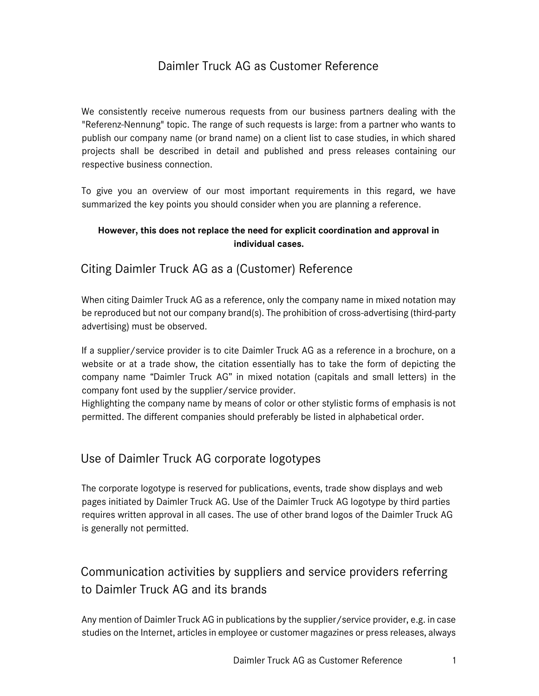## Daimler Truck AG as Customer Reference

We consistently receive numerous requests from our business partners dealing with the "Referenz-Nennung" topic. The range of such requests is large: from a partner who wants to publish our company name (or brand name) on a client list to case studies, in which shared projects shall be described in detail and published and press releases containing our respective business connection.

To give you an overview of our most important requirements in this regard, we have summarized the key points you should consider when you are planning a reference.

#### **However, this does not replace the need for explicit coordination and approval in individual cases.**

### Citing Daimler Truck AG as a (Customer) Reference

When citing Daimler Truck AG as a reference, only the company name in mixed notation may be reproduced but not our company brand(s). The prohibition of cross-advertising (third-party advertising) must be observed.

If a supplier/service provider is to cite Daimler Truck AG as a reference in a brochure, on a website or at a trade show, the citation essentially has to take the form of depicting the company name "Daimler Truck AG" in mixed notation (capitals and small letters) in the company font used by the supplier/service provider.

Highlighting the company name by means of color or other stylistic forms of emphasis is not permitted. The different companies should preferably be listed in alphabetical order.

## Use of Daimler Truck AG corporate logotypes

The corporate logotype is reserved for publications, events, trade show displays and web pages initiated by Daimler Truck AG. Use of the Daimler Truck AG logotype by third parties requires written approval in all cases. The use of other brand logos of the Daimler Truck AG is generally not permitted.

# Communication activities by suppliers and service providers referring to Daimler Truck AG and its brands

Any mention of Daimler Truck AG in publications by the supplier/service provider, e.g. in case studies on the Internet, articles in employee or customer magazines or press releases, always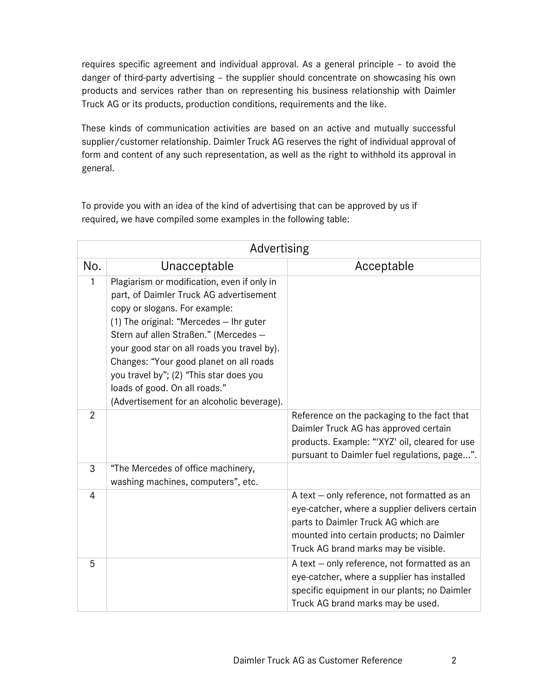requires specific agreement and individual approval. As a general principle – to avoid the danger of third-party advertising – the supplier should concentrate on showcasing his own products and services rather than on representing his business relationship with Daimler Truck AG or its products, production conditions, requirements and the like.

These kinds of communication activities are based on an active and mutually successful supplier/customer relationship. Daimler Truck AG reserves the right of individual approval of form and content of any such representation, as well as the right to withhold its approval in general.

To provide you with an idea of the kind of advertising that can be approved by us if required, we have compiled some examples in the following table:

| Advertising    |                                                                                                                                                                                                                                                                                                                                                                                                                                 |                                                                                                                                                                                                                            |  |  |
|----------------|---------------------------------------------------------------------------------------------------------------------------------------------------------------------------------------------------------------------------------------------------------------------------------------------------------------------------------------------------------------------------------------------------------------------------------|----------------------------------------------------------------------------------------------------------------------------------------------------------------------------------------------------------------------------|--|--|
| No.            | Unacceptable                                                                                                                                                                                                                                                                                                                                                                                                                    | Acceptable                                                                                                                                                                                                                 |  |  |
| 1              | Plagiarism or modification, even if only in<br>part, of Daimler Truck AG advertisement<br>copy or slogans. For example:<br>(1) The original: "Mercedes - Ihr guter<br>Stern auf allen Straßen." (Mercedes -<br>your good star on all roads you travel by).<br>Changes: "Your good planet on all roads<br>you travel by"; (2) "This star does you<br>loads of good. On all roads."<br>(Advertisement for an alcoholic beverage). |                                                                                                                                                                                                                            |  |  |
| $\overline{2}$ |                                                                                                                                                                                                                                                                                                                                                                                                                                 | Reference on the packaging to the fact that<br>Daimler Truck AG has approved certain<br>products. Example: "XYZ' oil, cleared for use<br>pursuant to Daimler fuel regulations, page".                                      |  |  |
| 3              | "The Mercedes of office machinery,<br>washing machines, computers", etc.                                                                                                                                                                                                                                                                                                                                                        |                                                                                                                                                                                                                            |  |  |
| $\overline{4}$ |                                                                                                                                                                                                                                                                                                                                                                                                                                 | A text - only reference, not formatted as an<br>eye-catcher, where a supplier delivers certain<br>parts to Daimler Truck AG which are<br>mounted into certain products; no Daimler<br>Truck AG brand marks may be visible. |  |  |
| 5              |                                                                                                                                                                                                                                                                                                                                                                                                                                 | A text - only reference, not formatted as an<br>eye-catcher, where a supplier has installed<br>specific equipment in our plants; no Daimler<br>Truck AG brand marks may be used.                                           |  |  |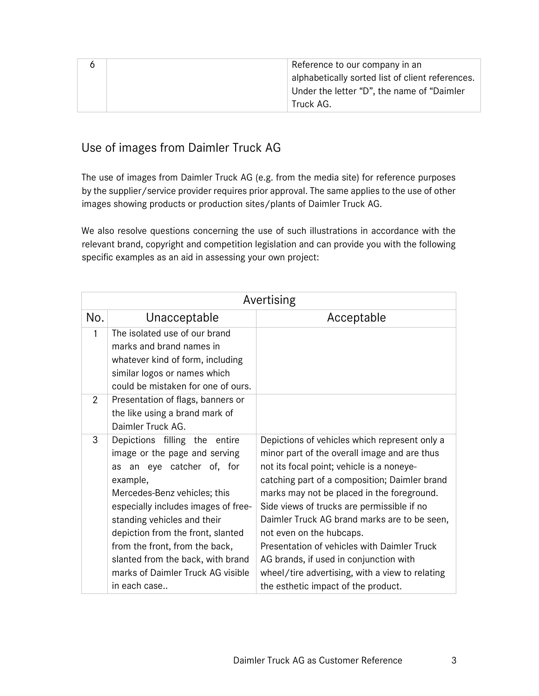|  | Reference to our company in an                   |
|--|--------------------------------------------------|
|  | alphabetically sorted list of client references. |
|  | Under the letter "D", the name of "Daimler       |
|  | Truck AG.                                        |

## Use of images from Daimler Truck AG

The use of images from Daimler Truck AG (e.g. from the media site) for reference purposes by the supplier/service provider requires prior approval. The same applies to the use of other images showing products or production sites/plants of Daimler Truck AG.

We also resolve questions concerning the use of such illustrations in accordance with the relevant brand, copyright and competition legislation and can provide you with the following specific examples as an aid in assessing your own project:

| Avertising |                                                                                                                                                                                                                                                                                                                                                                                |                                                                                                                                                                                                                                                                                                                                                                                                                                                                                                                                                        |  |  |
|------------|--------------------------------------------------------------------------------------------------------------------------------------------------------------------------------------------------------------------------------------------------------------------------------------------------------------------------------------------------------------------------------|--------------------------------------------------------------------------------------------------------------------------------------------------------------------------------------------------------------------------------------------------------------------------------------------------------------------------------------------------------------------------------------------------------------------------------------------------------------------------------------------------------------------------------------------------------|--|--|
| No.        | Unacceptable                                                                                                                                                                                                                                                                                                                                                                   | Acceptable                                                                                                                                                                                                                                                                                                                                                                                                                                                                                                                                             |  |  |
| 1          | The isolated use of our brand<br>marks and brand names in<br>whatever kind of form, including<br>similar logos or names which<br>could be mistaken for one of ours.                                                                                                                                                                                                            |                                                                                                                                                                                                                                                                                                                                                                                                                                                                                                                                                        |  |  |
| 2          | Presentation of flags, banners or<br>the like using a brand mark of<br>Daimler Truck AG.                                                                                                                                                                                                                                                                                       |                                                                                                                                                                                                                                                                                                                                                                                                                                                                                                                                                        |  |  |
| 3          | Depictions filling the entire<br>image or the page and serving<br>as an eye catcher of, for<br>example,<br>Mercedes-Benz vehicles; this<br>especially includes images of free-<br>standing vehicles and their<br>depiction from the front, slanted<br>from the front, from the back,<br>slanted from the back, with brand<br>marks of Daimler Truck AG visible<br>in each case | Depictions of vehicles which represent only a<br>minor part of the overall image and are thus<br>not its focal point; vehicle is a noneye-<br>catching part of a composition; Daimler brand<br>marks may not be placed in the foreground.<br>Side views of trucks are permissible if no<br>Daimler Truck AG brand marks are to be seen,<br>not even on the hubcaps.<br>Presentation of vehicles with Daimler Truck<br>AG brands, if used in conjunction with<br>wheel/tire advertising, with a view to relating<br>the esthetic impact of the product. |  |  |